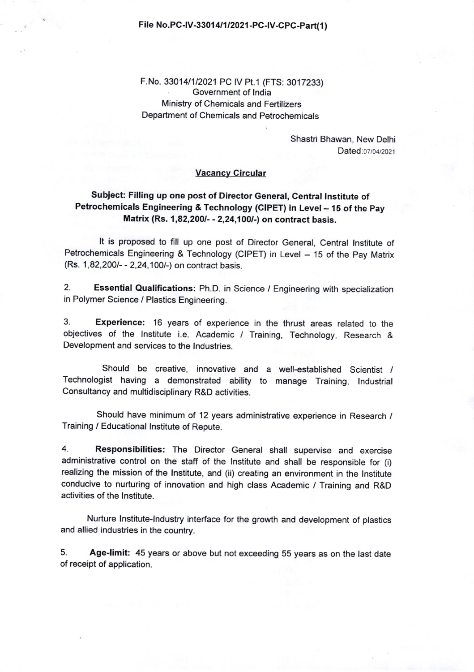### File No.PC-IV-33014/1/2021-PC-IV-CPC-Part(1)

F.No.330141112021 PC lV Pt.1 (FTS: 3017233) Government of lndia Ministry of Chemicals and Fertilizers Department of Chemicals and Petrochemicals

> Shastri Bhawan, New Delhi Dated: 07/04/2021

## Vacancy Circular

## Subject: Filling up one post of Director General, Central lnstitute of Petrochemicals Engineering & Technology (CIPET) in Level - 15 of the Pay Matrix (Rs. 1,82,200/- - 2,24,100/-) on contract basis.

It is proposed to fill up one post of Director General, Central lnstitute of Petrochemicals Engineering & Technology (CIPET) in Level - 15 of the Pay Matrix (Rs. 1,82,200/- - 2,24,100/-) on contract basis.

2. Essential Qualifications: Ph.D. in Science / Engineering with specialization in Polymer Science / Plastics Engineering.

3. Experience: 16 years of experience in the thrust areas related to the objectives of the lnstitute i.e. Academic / Training, Technology, Research & Development and services to the lndustries.

Should be creative, innovative and a well-established Scientist / Technologist having a demonstrated ability to manage Training, lndustrial Consultancy and multidisciplinary R&D activities.

Should have minimum of 12 years administrative experience in Research / Training / Educational lnstitute of Repute.

4. Responsibilities: The Director General shall supervise and exercise administrative control on the staff of the lnstitute and shall be responsible for (i) realizing the mission of the lnstitute, and (ii) creating an environment in the lnstitute conducive to nurturing of innovation and high class Academic / Training and R&D activities of the lnstitute.

Nurture lnstitute-lndustry interface for the growth and development of plastics and allied industries in the country.

5. Age-limit: 45 years or above but not exceeding 55 years as on the last date of receipt of application.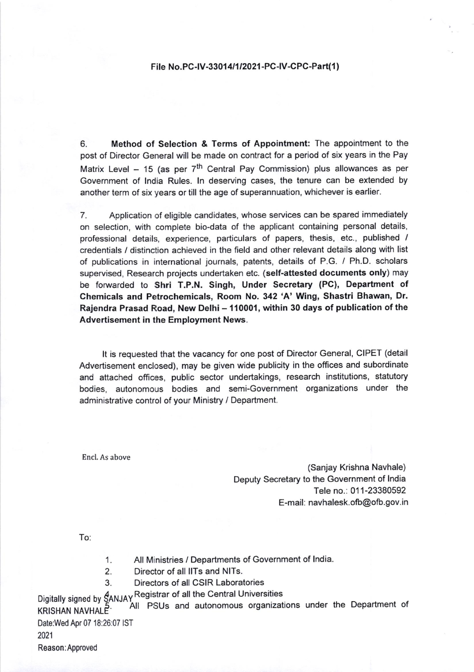#### File No.PC-IV-33014/1/2021-PC-IV-CPC-Part(1)

6. Method of Selection & Terms of Appointment: The appointment to the post of Director General will be made on contract for a period of six years in the Pay Matrix Level - 15 (as per  $7<sup>th</sup>$  Central Pay Commission) plus allowances as per Government of lndia Rules. ln deserving cases, the tenure can be extended by another term of six years or till the age of superannuation, whichever is earlier.

7. Application of eligible candidates, whose services can be spared immediately on selection, with complete bio-data of the applicant containing personal details, professional details, experience, particulars of papers, thesis, etc., published / credentials / distinction achieved in the field and other relevant details along with list of publications in international journals, patents, details of P.G. / Ph.D. scholars supervised, Research projects undertaken etc. (self-attested documents only) may be foruvarded to Shri T.P.N. Singh, Under Secretary (PC), Department of Chemicals and Petrochemicals, Room No. 342 'A' Wing, Shastri Bhawan, Dr. Rajendra Prasad Road, New Delhi - 110001, within 30 days of publication of the Advertisement in the Employment News.

It is requested that the vacancy for one post of Director General, CIPET (detail Advertisement enclosed), may be given wide publicity in the offices and subordinate and attached offices, public sector undertakings, research institutions, statutory bodies, autonomous bodies and semi-Government organizations under the administrative control of your Ministry / Department.

Encl. As above

(Sanjay Krishna Navhale) Deputy Secretary to the Government of lndia Tele no.: 011-23380592 E-mail: navhalesk.ofb@ofb. gov.in

To:

- 1. All Ministries / Departments of Government of lndia.
- 2. Director of all llTs and NlTs.
- 3. Directors of all CSIR Laboratories

Digitally signed by  $\frac{A}{2}$ ANJAY Registrar of all the Central Universities

Listing City P. All PSUs and autonomous organizations under the Department of Date:Wed Apr 07 18:26:07 IST

2021 Reason:Approved